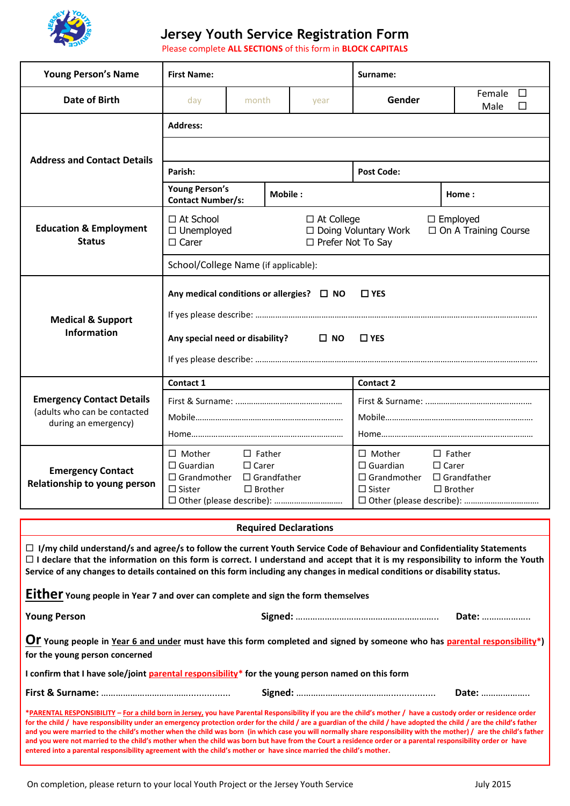

## **Jersey Youth Service Registration Form**

Please complete **ALL SECTIONS** of this form in **BLOCK CAPITALS** 

| <b>Young Person's Name</b>                                                                                                                                                                                                                                                                                                                                                                                                                                                                                                                                                                                                                                                                                                                                                                          | <b>First Name:</b>                                                                                                                                                       |                   |         |                              | Surname:                                                                    |                               |  |  |  |
|-----------------------------------------------------------------------------------------------------------------------------------------------------------------------------------------------------------------------------------------------------------------------------------------------------------------------------------------------------------------------------------------------------------------------------------------------------------------------------------------------------------------------------------------------------------------------------------------------------------------------------------------------------------------------------------------------------------------------------------------------------------------------------------------------------|--------------------------------------------------------------------------------------------------------------------------------------------------------------------------|-------------------|---------|------------------------------|-----------------------------------------------------------------------------|-------------------------------|--|--|--|
| Date of Birth                                                                                                                                                                                                                                                                                                                                                                                                                                                                                                                                                                                                                                                                                                                                                                                       | day                                                                                                                                                                      | month             |         | year                         | Gender                                                                      | $\Box$<br>Female<br>Male<br>П |  |  |  |
|                                                                                                                                                                                                                                                                                                                                                                                                                                                                                                                                                                                                                                                                                                                                                                                                     | <b>Address:</b>                                                                                                                                                          |                   |         |                              |                                                                             |                               |  |  |  |
|                                                                                                                                                                                                                                                                                                                                                                                                                                                                                                                                                                                                                                                                                                                                                                                                     |                                                                                                                                                                          |                   |         |                              |                                                                             |                               |  |  |  |
| <b>Address and Contact Details</b>                                                                                                                                                                                                                                                                                                                                                                                                                                                                                                                                                                                                                                                                                                                                                                  | Parish:                                                                                                                                                                  |                   |         |                              | <b>Post Code:</b>                                                           |                               |  |  |  |
|                                                                                                                                                                                                                                                                                                                                                                                                                                                                                                                                                                                                                                                                                                                                                                                                     | <b>Young Person's</b><br><b>Contact Number/s:</b>                                                                                                                        |                   | Mobile: |                              | Home:                                                                       |                               |  |  |  |
| <b>Education &amp; Employment</b><br><b>Status</b>                                                                                                                                                                                                                                                                                                                                                                                                                                                                                                                                                                                                                                                                                                                                                  | □ At School<br>$\Box$ At College<br>$\Box$ Employed<br>□ Doing Voluntary Work<br>□ On A Training Course<br>$\Box$ Unemployed<br>$\Box$ Carer<br>$\Box$ Prefer Not To Say |                   |         |                              |                                                                             |                               |  |  |  |
|                                                                                                                                                                                                                                                                                                                                                                                                                                                                                                                                                                                                                                                                                                                                                                                                     | School/College Name (if applicable):                                                                                                                                     |                   |         |                              |                                                                             |                               |  |  |  |
| <b>Medical &amp; Support</b><br><b>Information</b>                                                                                                                                                                                                                                                                                                                                                                                                                                                                                                                                                                                                                                                                                                                                                  | Any medical conditions or allergies? $\Box$ NO<br>$\Box$ YES                                                                                                             |                   |         |                              |                                                                             |                               |  |  |  |
|                                                                                                                                                                                                                                                                                                                                                                                                                                                                                                                                                                                                                                                                                                                                                                                                     |                                                                                                                                                                          |                   |         |                              |                                                                             |                               |  |  |  |
|                                                                                                                                                                                                                                                                                                                                                                                                                                                                                                                                                                                                                                                                                                                                                                                                     | Any special need or disability? $\Box$ NO<br>$\square$ YES                                                                                                               |                   |         |                              |                                                                             |                               |  |  |  |
|                                                                                                                                                                                                                                                                                                                                                                                                                                                                                                                                                                                                                                                                                                                                                                                                     |                                                                                                                                                                          |                   |         |                              |                                                                             |                               |  |  |  |
|                                                                                                                                                                                                                                                                                                                                                                                                                                                                                                                                                                                                                                                                                                                                                                                                     | Contact 1                                                                                                                                                                |                   |         |                              | <b>Contact 2</b>                                                            |                               |  |  |  |
| <b>Emergency Contact Details</b><br>(adults who can be contacted                                                                                                                                                                                                                                                                                                                                                                                                                                                                                                                                                                                                                                                                                                                                    |                                                                                                                                                                          |                   |         |                              |                                                                             |                               |  |  |  |
| during an emergency)                                                                                                                                                                                                                                                                                                                                                                                                                                                                                                                                                                                                                                                                                                                                                                                |                                                                                                                                                                          |                   |         |                              |                                                                             |                               |  |  |  |
|                                                                                                                                                                                                                                                                                                                                                                                                                                                                                                                                                                                                                                                                                                                                                                                                     |                                                                                                                                                                          |                   |         |                              |                                                                             |                               |  |  |  |
| <b>Emergency Contact</b>                                                                                                                                                                                                                                                                                                                                                                                                                                                                                                                                                                                                                                                                                                                                                                            | $\Box$ Mother<br>$\Box$ Father                                                                                                                                           |                   |         |                              | $\Box$ Mother<br>$\Box$ Father                                              |                               |  |  |  |
|                                                                                                                                                                                                                                                                                                                                                                                                                                                                                                                                                                                                                                                                                                                                                                                                     | $\Box$ Guardian<br>$\Box$ Carer<br>$\Box$ Grandfather<br>$\Box$ Grandmother                                                                                              |                   |         |                              | $\Box$ Guardian<br>$\Box$ Carer<br>$\Box$ Grandmother<br>$\Box$ Grandfather |                               |  |  |  |
| Relationship to young person                                                                                                                                                                                                                                                                                                                                                                                                                                                                                                                                                                                                                                                                                                                                                                        | $\Box$ Sister                                                                                                                                                            | $\square$ Brother |         |                              | $\square$ Sister<br>$\Box$ Brother                                          |                               |  |  |  |
|                                                                                                                                                                                                                                                                                                                                                                                                                                                                                                                                                                                                                                                                                                                                                                                                     | □ Other (please describe):                                                                                                                                               |                   |         |                              |                                                                             |                               |  |  |  |
|                                                                                                                                                                                                                                                                                                                                                                                                                                                                                                                                                                                                                                                                                                                                                                                                     |                                                                                                                                                                          |                   |         | <b>Required Declarations</b> |                                                                             |                               |  |  |  |
| $\Box$ I/my child understand/s and agree/s to follow the current Youth Service Code of Behaviour and Confidentiality Statements<br>$\Box$ I declare that the information on this form is correct. I understand and accept that it is my responsibility to inform the Youth<br>Service of any changes to details contained on this form including any changes in medical conditions or disability status.                                                                                                                                                                                                                                                                                                                                                                                            |                                                                                                                                                                          |                   |         |                              |                                                                             |                               |  |  |  |
| Either Young people in Year 7 and over can complete and sign the form themselves                                                                                                                                                                                                                                                                                                                                                                                                                                                                                                                                                                                                                                                                                                                    |                                                                                                                                                                          |                   |         |                              |                                                                             |                               |  |  |  |
| <b>Young Person</b>                                                                                                                                                                                                                                                                                                                                                                                                                                                                                                                                                                                                                                                                                                                                                                                 |                                                                                                                                                                          |                   |         |                              |                                                                             | Date:                         |  |  |  |
| <b>Or</b> Young people in Year 6 and under must have this form completed and signed by someone who has parental responsibility*)<br>for the young person concerned                                                                                                                                                                                                                                                                                                                                                                                                                                                                                                                                                                                                                                  |                                                                                                                                                                          |                   |         |                              |                                                                             |                               |  |  |  |
| I confirm that I have sole/joint parental responsibility <sup>*</sup> for the young person named on this form                                                                                                                                                                                                                                                                                                                                                                                                                                                                                                                                                                                                                                                                                       |                                                                                                                                                                          |                   |         |                              |                                                                             |                               |  |  |  |
| Date:                                                                                                                                                                                                                                                                                                                                                                                                                                                                                                                                                                                                                                                                                                                                                                                               |                                                                                                                                                                          |                   |         |                              |                                                                             |                               |  |  |  |
| *PARENTAL RESPONSIBILITY - For a child born in Jersey, you have Parental Responsibility if you are the child's mother / have a custody order or residence order<br>for the child / have responsibility under an emergency protection order for the child / are a guardian of the child / have adopted the child / are the child's father<br>and you were married to the child's mother when the child was born (in which case you will normally share responsibility with the mother) / are the child's father<br>and you were not married to the child's mother when the child was born but have from the Court a residence order or a parental responsibility order or have<br>entered into a parental responsibility agreement with the child's mother or have since married the child's mother. |                                                                                                                                                                          |                   |         |                              |                                                                             |                               |  |  |  |